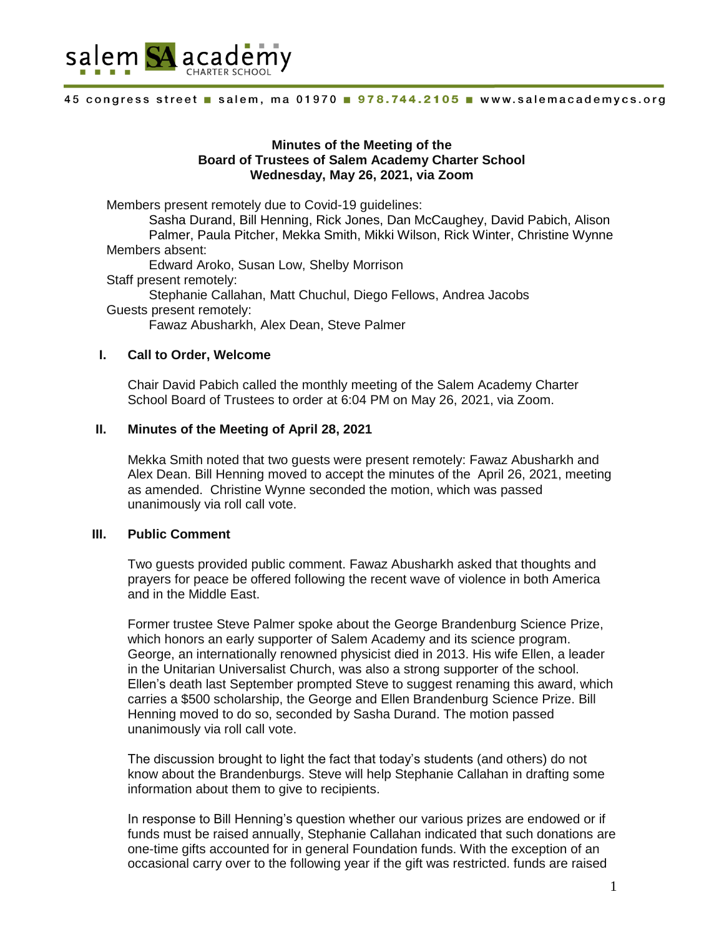

## **Minutes of the Meeting of the Board of Trustees of Salem Academy Charter School Wednesday, May 26, 2021, via Zoom**

Members present remotely due to Covid-19 guidelines:

Sasha Durand, Bill Henning, Rick Jones, Dan McCaughey, David Pabich, Alison Palmer, Paula Pitcher, Mekka Smith, Mikki Wilson, Rick Winter, Christine Wynne Members absent:

Edward Aroko, Susan Low, Shelby Morrison Staff present remotely: Stephanie Callahan, Matt Chuchul, Diego Fellows, Andrea Jacobs Guests present remotely:

Fawaz Abusharkh, Alex Dean, Steve Palmer

### **I. Call to Order, Welcome**

Chair David Pabich called the monthly meeting of the Salem Academy Charter School Board of Trustees to order at 6:04 PM on May 26, 2021, via Zoom.

### **II. Minutes of the Meeting of April 28, 2021**

Mekka Smith noted that two guests were present remotely: Fawaz Abusharkh and Alex Dean. Bill Henning moved to accept the minutes of the April 26, 2021, meeting as amended. Christine Wynne seconded the motion, which was passed unanimously via roll call vote.

#### **III. Public Comment**

Two guests provided public comment. Fawaz Abusharkh asked that thoughts and prayers for peace be offered following the recent wave of violence in both America and in the Middle East.

Former trustee Steve Palmer spoke about the George Brandenburg Science Prize, which honors an early supporter of Salem Academy and its science program. George, an internationally renowned physicist died in 2013. His wife Ellen, a leader in the Unitarian Universalist Church, was also a strong supporter of the school. Ellen's death last September prompted Steve to suggest renaming this award, which carries a \$500 scholarship, the George and Ellen Brandenburg Science Prize. Bill Henning moved to do so, seconded by Sasha Durand. The motion passed unanimously via roll call vote.

The discussion brought to light the fact that today's students (and others) do not know about the Brandenburgs. Steve will help Stephanie Callahan in drafting some information about them to give to recipients.

In response to Bill Henning's question whether our various prizes are endowed or if funds must be raised annually, Stephanie Callahan indicated that such donations are one-time gifts accounted for in general Foundation funds. With the exception of an occasional carry over to the following year if the gift was restricted. funds are raised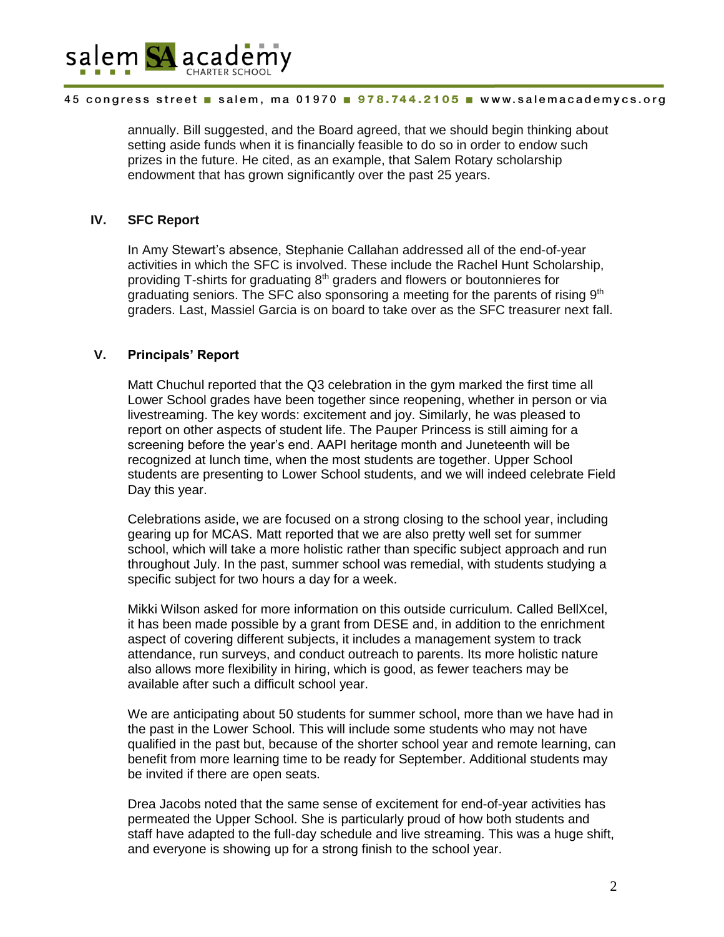

annually. Bill suggested, and the Board agreed, that we should begin thinking about setting aside funds when it is financially feasible to do so in order to endow such prizes in the future. He cited, as an example, that Salem Rotary scholarship endowment that has grown significantly over the past 25 years.

## **IV. SFC Report**

In Amy Stewart's absence, Stephanie Callahan addressed all of the end-of-year activities in which the SFC is involved. These include the Rachel Hunt Scholarship, providing T-shirts for graduating 8<sup>th</sup> graders and flowers or boutonnieres for graduating seniors. The SFC also sponsoring a meeting for the parents of rising  $9<sup>th</sup>$ graders. Last, Massiel Garcia is on board to take over as the SFC treasurer next fall.

## **V. Principals' Report**

Matt Chuchul reported that the Q3 celebration in the gym marked the first time all Lower School grades have been together since reopening, whether in person or via livestreaming. The key words: excitement and joy. Similarly, he was pleased to report on other aspects of student life. The Pauper Princess is still aiming for a screening before the year's end. AAPI heritage month and Juneteenth will be recognized at lunch time, when the most students are together. Upper School students are presenting to Lower School students, and we will indeed celebrate Field Day this year.

Celebrations aside, we are focused on a strong closing to the school year, including gearing up for MCAS. Matt reported that we are also pretty well set for summer school, which will take a more holistic rather than specific subject approach and run throughout July. In the past, summer school was remedial, with students studying a specific subject for two hours a day for a week.

Mikki Wilson asked for more information on this outside curriculum. Called BellXcel, it has been made possible by a grant from DESE and, in addition to the enrichment aspect of covering different subjects, it includes a management system to track attendance, run surveys, and conduct outreach to parents. Its more holistic nature also allows more flexibility in hiring, which is good, as fewer teachers may be available after such a difficult school year.

We are anticipating about 50 students for summer school, more than we have had in the past in the Lower School. This will include some students who may not have qualified in the past but, because of the shorter school year and remote learning, can benefit from more learning time to be ready for September. Additional students may be invited if there are open seats.

Drea Jacobs noted that the same sense of excitement for end-of-year activities has permeated the Upper School. She is particularly proud of how both students and staff have adapted to the full-day schedule and live streaming. This was a huge shift, and everyone is showing up for a strong finish to the school year.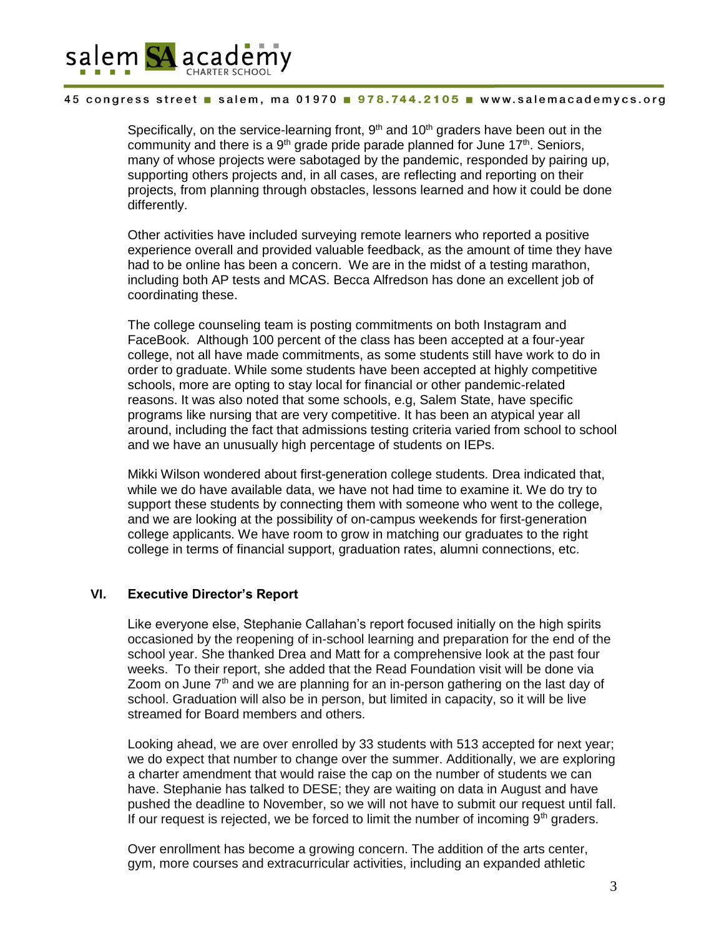

Specifically, on the service-learning front,  $9<sup>th</sup>$  and  $10<sup>th</sup>$  graders have been out in the community and there is a  $9<sup>th</sup>$  grade pride parade planned for June 17<sup>th</sup>. Seniors, many of whose projects were sabotaged by the pandemic, responded by pairing up, supporting others projects and, in all cases, are reflecting and reporting on their projects, from planning through obstacles, lessons learned and how it could be done differently.

Other activities have included surveying remote learners who reported a positive experience overall and provided valuable feedback, as the amount of time they have had to be online has been a concern. We are in the midst of a testing marathon, including both AP tests and MCAS. Becca Alfredson has done an excellent job of coordinating these.

The college counseling team is posting commitments on both Instagram and FaceBook. Although 100 percent of the class has been accepted at a four-year college, not all have made commitments, as some students still have work to do in order to graduate. While some students have been accepted at highly competitive schools, more are opting to stay local for financial or other pandemic-related reasons. It was also noted that some schools, e.g, Salem State, have specific programs like nursing that are very competitive. It has been an atypical year all around, including the fact that admissions testing criteria varied from school to school and we have an unusually high percentage of students on IEPs.

Mikki Wilson wondered about first-generation college students. Drea indicated that, while we do have available data, we have not had time to examine it. We do try to support these students by connecting them with someone who went to the college, and we are looking at the possibility of on-campus weekends for first-generation college applicants. We have room to grow in matching our graduates to the right college in terms of financial support, graduation rates, alumni connections, etc.

## **VI. Executive Director's Report**

Like everyone else, Stephanie Callahan's report focused initially on the high spirits occasioned by the reopening of in-school learning and preparation for the end of the school year. She thanked Drea and Matt for a comprehensive look at the past four weeks. To their report, she added that the Read Foundation visit will be done via Zoom on June  $7<sup>th</sup>$  and we are planning for an in-person gathering on the last day of school. Graduation will also be in person, but limited in capacity, so it will be live streamed for Board members and others.

Looking ahead, we are over enrolled by 33 students with 513 accepted for next year; we do expect that number to change over the summer. Additionally, we are exploring a charter amendment that would raise the cap on the number of students we can have. Stephanie has talked to DESE; they are waiting on data in August and have pushed the deadline to November, so we will not have to submit our request until fall. If our request is rejected, we be forced to limit the number of incoming  $9<sup>th</sup>$  graders.

Over enrollment has become a growing concern. The addition of the arts center, gym, more courses and extracurricular activities, including an expanded athletic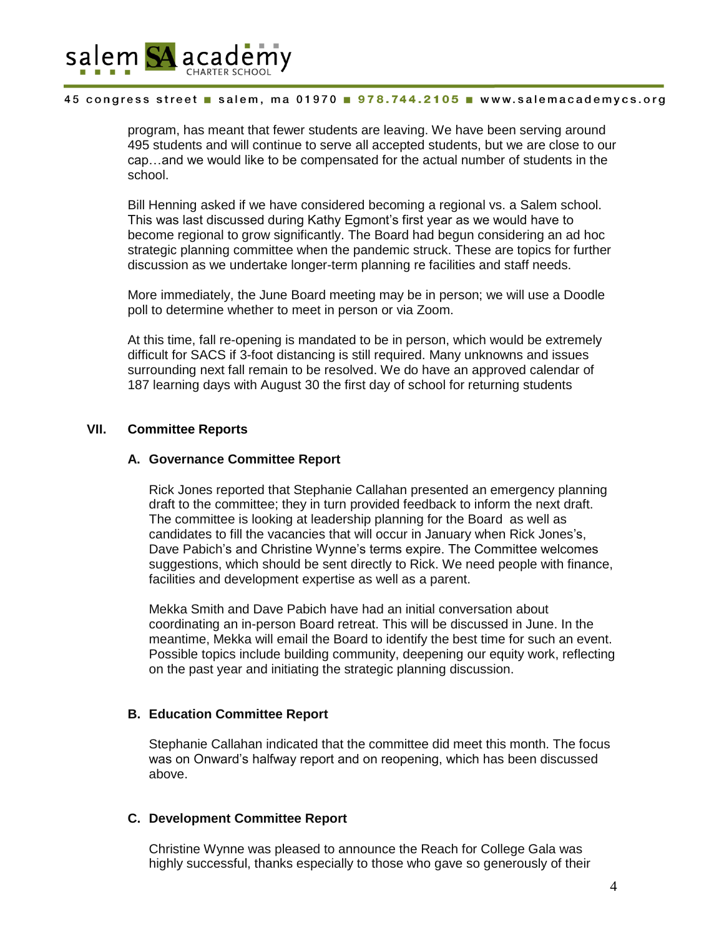

program, has meant that fewer students are leaving. We have been serving around 495 students and will continue to serve all accepted students, but we are close to our cap…and we would like to be compensated for the actual number of students in the school.

Bill Henning asked if we have considered becoming a regional vs. a Salem school. This was last discussed during Kathy Egmont's first year as we would have to become regional to grow significantly. The Board had begun considering an ad hoc strategic planning committee when the pandemic struck. These are topics for further discussion as we undertake longer-term planning re facilities and staff needs.

More immediately, the June Board meeting may be in person; we will use a Doodle poll to determine whether to meet in person or via Zoom.

At this time, fall re-opening is mandated to be in person, which would be extremely difficult for SACS if 3-foot distancing is still required. Many unknowns and issues surrounding next fall remain to be resolved. We do have an approved calendar of 187 learning days with August 30 the first day of school for returning students

### **VII. Committee Reports**

### **A. Governance Committee Report**

Rick Jones reported that Stephanie Callahan presented an emergency planning draft to the committee; they in turn provided feedback to inform the next draft. The committee is looking at leadership planning for the Board as well as candidates to fill the vacancies that will occur in January when Rick Jones's, Dave Pabich's and Christine Wynne's terms expire. The Committee welcomes suggestions, which should be sent directly to Rick. We need people with finance, facilities and development expertise as well as a parent.

Mekka Smith and Dave Pabich have had an initial conversation about coordinating an in-person Board retreat. This will be discussed in June. In the meantime, Mekka will email the Board to identify the best time for such an event. Possible topics include building community, deepening our equity work, reflecting on the past year and initiating the strategic planning discussion.

#### **B. Education Committee Report**

Stephanie Callahan indicated that the committee did meet this month. The focus was on Onward's halfway report and on reopening, which has been discussed above.

### **C. Development Committee Report**

Christine Wynne was pleased to announce the Reach for College Gala was highly successful, thanks especially to those who gave so generously of their